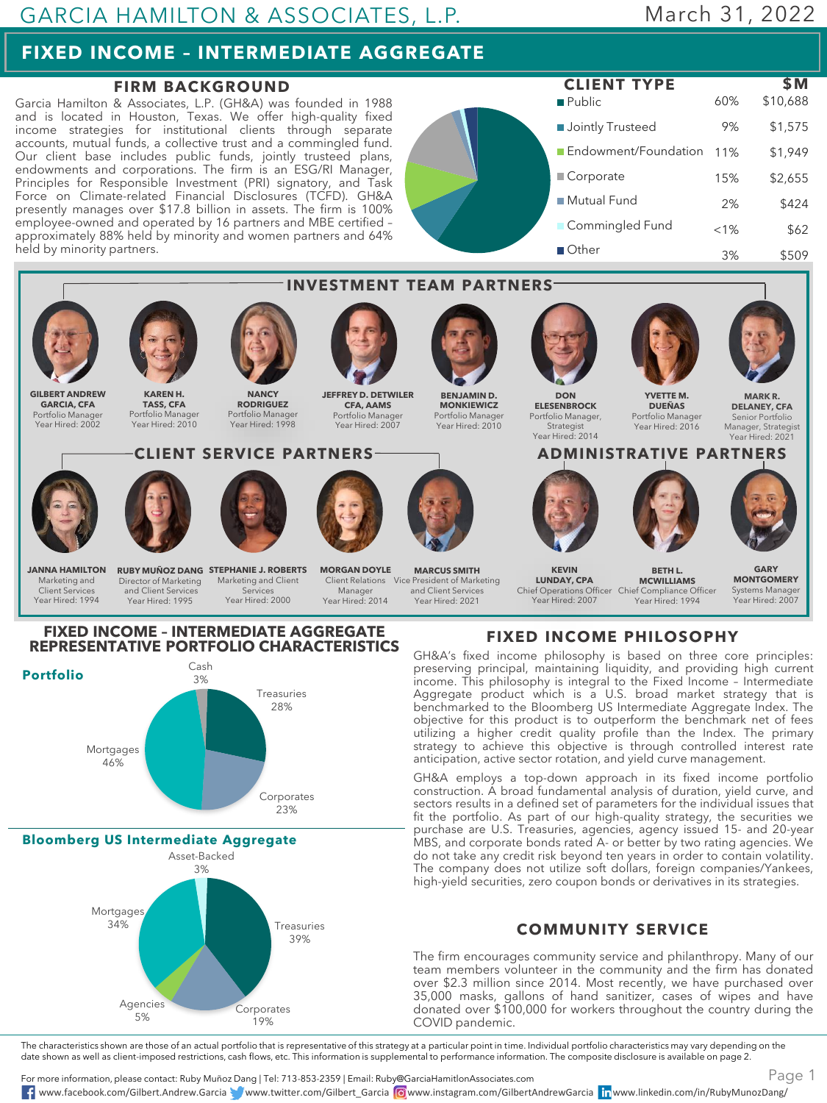## **FIXED INCOME – INTERMEDIATE AGGREGATE**

### **FIRM BACKGROUND**

Garcia Hamilton & Associates, L.P. (GH&A) was founded in 1988 and is located in Houston, Texas. We offer high-quality fixed income strategies for institutional clients through separate accounts, mutual funds, a collective trust and a commingled fund. Our client base includes public funds, jointly trusteed plans, endowments and corporations. The firm is an ESG/RI Manager, Principles for Responsible Investment (PRI) signatory, and Task Force on Climate-related Financial Disclosures (TCFD). GH&A presently manages over \$17.8 billion in assets. The firm is 100% employee-owned and operated by 16 partners and MBE certified – approximately 88% held by minority and women partners and 64% held by minority partners.





# **FIXED INCOME – INTERMEDIATE AGGREGATE**



**Bloomberg US Intermediate Aggregate**



**FIXED INCOME PHILOSOPHY**

GH&A's fixed income philosophy is based on three core principles: preserving principal, maintaining liquidity, and providing high current income. This philosophy is integral to the Fixed Income – Intermediate Aggregate product which is a U.S. broad market strategy that is benchmarked to the Bloomberg US Intermediate Aggregate Index. The objective for this product is to outperform the benchmark net of fees utilizing a higher credit quality profile than the Index. The primary strategy to achieve this objective is through controlled interest rate anticipation, active sector rotation, and yield curve management.

GH&A employs a top-down approach in its fixed income portfolio construction. A broad fundamental analysis of duration, yield curve, and sectors results in a defined set of parameters for the individual issues that fit the portfolio. As part of our high-quality strategy, the securities we purchase are U.S. Treasuries, agencies, agency issued 15- and 20-year MBS, and corporate bonds rated A- or better by two rating agencies. We do not take any credit risk beyond ten years in order to contain volatility. The company does not utilize soft dollars, foreign companies/Yankees, high-yield securities, zero coupon bonds or derivatives in its strategies.

### **COMMUNITY SERVICE**

The firm encourages community service and philanthropy. Many of our team members volunteer in the community and the firm has donated over \$2.3 million since 2014. Most recently, we have purchased over 35,000 masks, gallons of hand sanitizer, cases of wipes and have donated over \$100,000 for workers throughout the country during the COVID pandemic.

The characteristics shown are those of an actual portfolio that is representative of this strategy at a particular point in time. Individual portfolio characteristics may vary depending on the date shown as well as client-imposed restrictions, cash flows, etc. This information is supplemental to performance information. The composite disclosure is available on page 2.

For more information, please contact: Ruby Muñoz Dang | Tel: 713-853-2359 | Email: Ruby@GarciaHamitlonAssociates.com www.facebook.com/Gilbert.Andrew.Garcia www.twitter.com/Gilbert\_Garcia www.instagram.com/GilbertAndrewGarcia www.linkedin.com/in/RubyMunozDang/